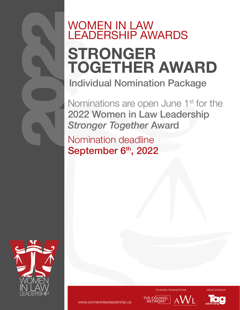## WOMEN IN LAW LEADERSHIP AWARDS STRONGER TOGETHER AWARD Individual Nomination Package

Nominations are open June 1<sup>st</sup> for the 2022 Women in Law Leadership *Stronger Together* Award

Nomination deadline September 6th, 2022



2022

FOUNDING ORGANIZATIONS MEDIA SPONSOR

 $AVV<sub>1</sub>$ 

THE COUNSEL<br>NETWORK<sup>®</sup>

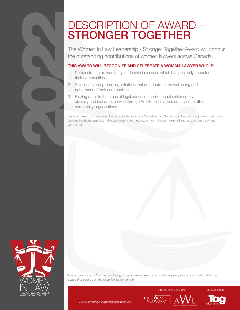# DESCRIPTION OF AWARD –<br>STRONGER TOGETHER

The Women in Law Leadership - Stronger Together Award will honour the outstanding contributions of women lawyers across Canada.

#### THIS AWARD WILL RECOGNIZE AND CELEBRATE A WOMAN' LAWYER WHO IS:

- 1. Demonstrating extraordinary leadership in a cause which has positively impacted their communities.
- 2. Developing and promoting initiatives that contribute to the well-being and betterment of their communities.
- 3. Blazing a trail in the areas of legal education and/or scholarship; equity, diversity and inclusion; service through Pro Bono initiatives or service to other community organizations.

Each nominee must be a member in good standing of a Canadian Law Society, can be practicing or non-practicing; working in private practice, in-house, government, education, or in the not-for-profit sector; and can be of any year of call.



2022

*\*This program is for all women, including cis and trans women, and non-binary people who are comfortable in a space that centres on the experiences of women.*

FOUNDING ORGANIZATIONS MEDIA SPONSOR

 $\overline{\mathsf{AWL}}$ 

THE COUNSEL

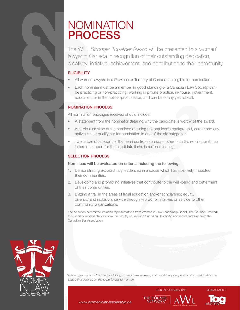## NOMINATION PROCESS

The WILL *Stronger Together* Award will be presented to a woman\* lawyer in Canada in recognition of their outstanding dedication, creativity, initiative, achievement, and contribution to their community.

#### **ELIGIBILITY**

2022

- All women lawyers in a Province or Territory of Canada are eligible for nomination.
- Each nominee must be a member in good standing of a Canadian Law Society, can be practicing or non-practicing; working in private practice, in-house, government, education, or in the not-for-profit sector; and can be of any year of call.

#### NOMINATION PROCESS

All nomination packages received should include:

- A statement from the nominator detailing why the candidate is worthy of the award.
- A curriculum vitae of the nominee outlining the nominee's background, career and any activities that qualify her for nomination in one of the six categories.
- Two letters of support for the nominee from someone other than the nominator (three letters of support for the candidate if she is self-nominating).

#### SELECTION PROCESS

#### Nominees will be evaluated on criteria including the following:

- 1. Demonstrating extraordinary leadership in a cause which has positively impacted their communities.
- 2. Developing and promoting initiatives that contribute to the well-being and betterment of their communities.
- 3. Blazing a trail in the areas of legal education and/or scholarship; equity, diversity and inclusion; service through Pro Bono initiatives or service to other community organizations.

The selection committee includes representatives from Women in Law Leadership Board, The Counsel Network, the judiciary, representatives from the Faculty of Law of a Canadian University, and representatives from the Canadian Bar Association.



*\*This program is for all women, including cis and trans women, and non-binary people who are comfortable in a space that centres on the experiences of women.*

**FOUNDING ORGANIZATIONS MEDIA SPONSOR**